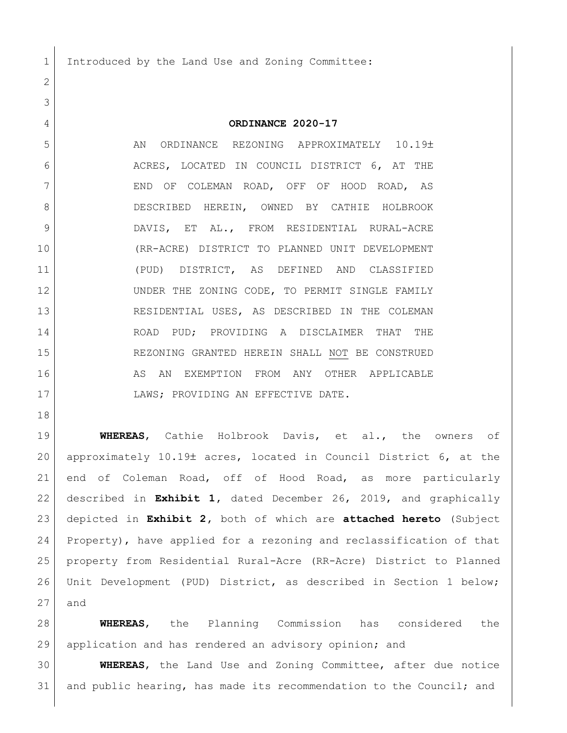Introduced by the Land Use and Zoning Committee:

## **ORDINANCE 2020-17**

5 AN ORDINANCE REZONING APPROXIMATELY 10.19± 6 ACRES, LOCATED IN COUNCIL DISTRICT 6, AT THE 7 | END OF COLEMAN ROAD, OFF OF HOOD ROAD, AS 8 DESCRIBED HEREIN, OWNED BY CATHIE HOLBROOK DAVIS, ET AL., FROM RESIDENTIAL RURAL-ACRE (RR-ACRE) DISTRICT TO PLANNED UNIT DEVELOPMENT (PUD) DISTRICT, AS DEFINED AND CLASSIFIED 12 UNDER THE ZONING CODE, TO PERMIT SINGLE FAMILY RESIDENTIAL USES, AS DESCRIBED IN THE COLEMAN ROAD PUD; PROVIDING A DISCLAIMER THAT THE REZONING GRANTED HEREIN SHALL NOT BE CONSTRUED 16 AS AN EXEMPTION FROM ANY OTHER APPLICABLE 17 | LAWS; PROVIDING AN EFFECTIVE DATE.

 **WHEREAS**, Cathie Holbrook Davis, et al., the owners of 20 approximately  $10.19\pm$  acres, located in Council District 6, at the end of Coleman Road, off of Hood Road, as more particularly described in **Exhibit 1,** dated December 26, 2019, and graphically depicted in **Exhibit 2,** both of which are **attached hereto** (Subject Property), have applied for a rezoning and reclassification of that property from Residential Rural-Acre (RR-Acre) District to Planned Unit Development (PUD) District, as described in Section 1 below; and

 **WHEREAS**, the Planning Commission has considered the application and has rendered an advisory opinion; and

 **WHEREAS**, the Land Use and Zoning Committee, after due notice and public hearing, has made its recommendation to the Council; and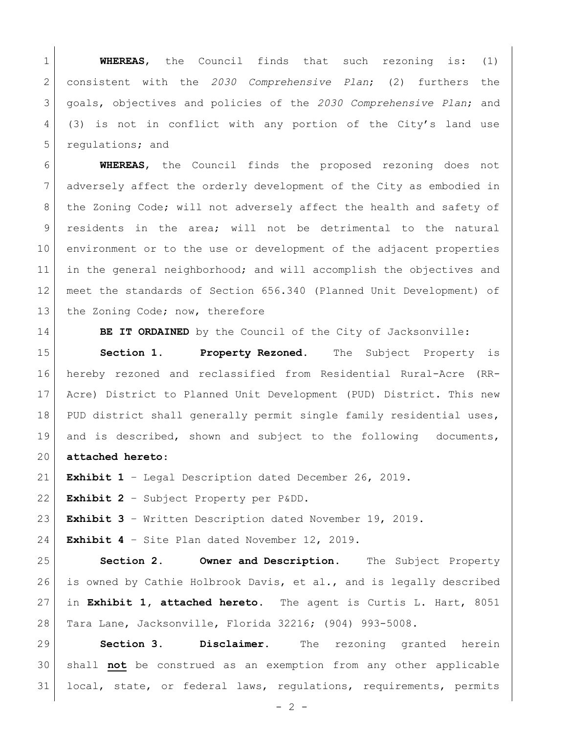**WHEREAS**, the Council finds that such rezoning is: (1) consistent with the *2030 Comprehensive Plan*; (2) furthers the goals, objectives and policies of the *2030 Comprehensive Plan*; and (3) is not in conflict with any portion of the City's land use 5 regulations; and

 **WHEREAS**, the Council finds the proposed rezoning does not adversely affect the orderly development of the City as embodied in 8 | the Zoning Code; will not adversely affect the health and safety of residents in the area; will not be detrimental to the natural environment or to the use or development of the adjacent properties 11 in the general neighborhood; and will accomplish the objectives and meet the standards of Section 656.340 (Planned Unit Development) of 13 the Zoning Code; now, therefore

**BE IT ORDAINED** by the Council of the City of Jacksonville:

 **Section 1. Property Rezoned.** The Subject Property is hereby rezoned and reclassified from Residential Rural-Acre (RR- Acre) District to Planned Unit Development (PUD) District. This new 18 PUD district shall generally permit single family residential uses, and is described, shown and subject to the following documents,

**attached hereto**:

**Exhibit 1** – Legal Description dated December 26, 2019.

**Exhibit 2** – Subject Property per P&DD.

**Exhibit 3** – Written Description dated November 19, 2019.

**Exhibit 4** – Site Plan dated November 12, 2019.

 **Section 2. Owner and Description.** The Subject Property is owned by Cathie Holbrook Davis, et al., and is legally described in **Exhibit 1, attached hereto**. The agent is Curtis L. Hart, 8051 Tara Lane, Jacksonville, Florida 32216; (904) 993-5008.

 **Section 3. Disclaimer.** The rezoning granted herein shall **not** be construed as an exemption from any other applicable local, state, or federal laws, regulations, requirements, permits

 $- 2 -$